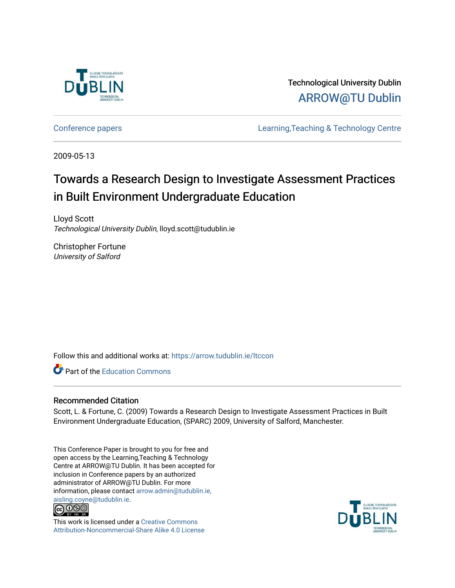

Technological University Dublin [ARROW@TU Dublin](https://arrow.tudublin.ie/) 

[Conference papers](https://arrow.tudublin.ie/ltccon) [Learning,Teaching & Technology Centre](https://arrow.tudublin.ie/ltc) 

2009-05-13

# Towards a Research Design to Investigate Assessment Practices in Built Environment Undergraduate Education

Lloyd Scott Technological University Dublin, lloyd.scott@tudublin.ie

Christopher Fortune University of Salford

Follow this and additional works at: [https://arrow.tudublin.ie/ltccon](https://arrow.tudublin.ie/ltccon?utm_source=arrow.tudublin.ie%2Fltccon%2F39&utm_medium=PDF&utm_campaign=PDFCoverPages)

**Part of the [Education Commons](http://network.bepress.com/hgg/discipline/784?utm_source=arrow.tudublin.ie%2Fltccon%2F39&utm_medium=PDF&utm_campaign=PDFCoverPages)** 

#### Recommended Citation

Scott, L. & Fortune, C. (2009) Towards a Research Design to Investigate Assessment Practices in Built Environment Undergraduate Education, (SPARC) 2009, University of Salford, Manchester.

This Conference Paper is brought to you for free and open access by the Learning,Teaching & Technology Centre at ARROW@TU Dublin. It has been accepted for inclusion in Conference papers by an authorized administrator of ARROW@TU Dublin. For more information, please contact [arrow.admin@tudublin.ie,](mailto:arrow.admin@tudublin.ie,%20aisling.coyne@tudublin.ie)  [aisling.coyne@tudublin.ie.](mailto:arrow.admin@tudublin.ie,%20aisling.coyne@tudublin.ie)<br>© 090



This work is licensed under a [Creative Commons](http://creativecommons.org/licenses/by-nc-sa/4.0/) [Attribution-Noncommercial-Share Alike 4.0 License](http://creativecommons.org/licenses/by-nc-sa/4.0/)

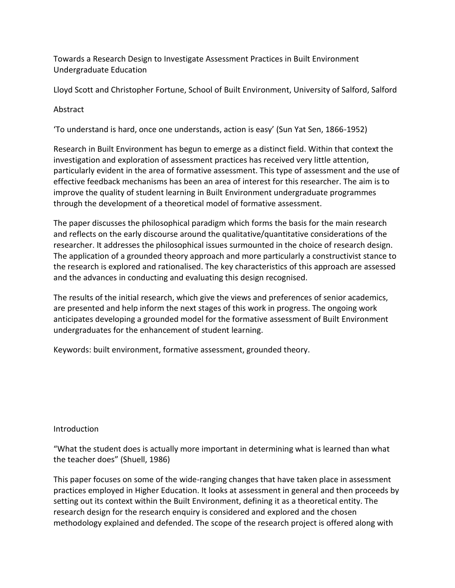Towards a Research Design to Investigate Assessment Practices in Built Environment Undergraduate Education

Lloyd Scott and Christopher Fortune, School of Built Environment, University of Salford, Salford

# Abstract

'To understand is hard, once one understands, action is easy' (Sun Yat Sen, 1866-1952)

Research in Built Environment has begun to emerge as a distinct field. Within that context the investigation and exploration of assessment practices has received very little attention, particularly evident in the area of formative assessment. This type of assessment and the use of effective feedback mechanisms has been an area of interest for this researcher. The aim is to improve the quality of student learning in Built Environment undergraduate programmes through the development of a theoretical model of formative assessment.

The paper discusses the philosophical paradigm which forms the basis for the main research and reflects on the early discourse around the qualitative/quantitative considerations of the researcher. It addresses the philosophical issues surmounted in the choice of research design. The application of a grounded theory approach and more particularly a constructivist stance to the research is explored and rationalised. The key characteristics of this approach are assessed and the advances in conducting and evaluating this design recognised.

The results of the initial research, which give the views and preferences of senior academics, are presented and help inform the next stages of this work in progress. The ongoing work anticipates developing a grounded model for the formative assessment of Built Environment undergraduates for the enhancement of student learning.

Keywords: built environment, formative assessment, grounded theory.

# Introduction

"What the student does is actually more important in determining what is learned than what the teacher does" (Shuell, 1986)

This paper focuses on some of the wide-ranging changes that have taken place in assessment practices employed in Higher Education. It looks at assessment in general and then proceeds by setting out its context within the Built Environment, defining it as a theoretical entity. The research design for the research enquiry is considered and explored and the chosen methodology explained and defended. The scope of the research project is offered along with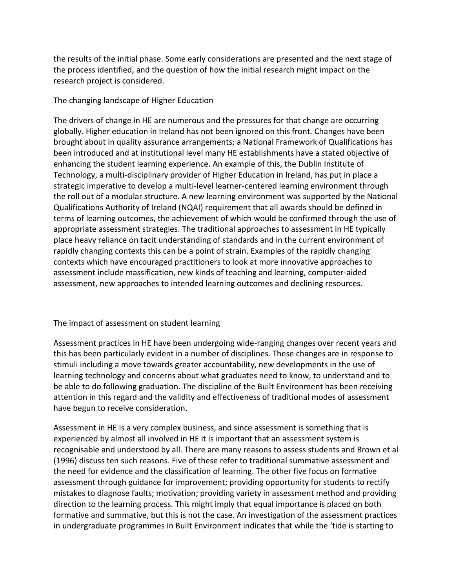the results of the initial phase. Some early considerations are presented and the next stage of the process identified, and the question of how the initial research might impact on the research project is considered.

### The changing landscape of Higher Education

The drivers of change in HE are numerous and the pressures for that change are occurring globally. Higher education in Ireland has not been ignored on this front. Changes have been brought about in quality assurance arrangements; a National Framework of Qualifications has been introduced and at institutional level many HE establishments have a stated objective of enhancing the student learning experience. An example of this, the Dublin Institute of Technology, a multi-disciplinary provider of Higher Education in Ireland, has put in place a strategic imperative to develop a multi-level learner-centered learning environment through the roll out of a modular structure. A new learning environment was supported by the National Qualifications Authority of Ireland (NQAI) requirement that all awards should be defined in terms of learning outcomes, the achievement of which would be confirmed through the use of appropriate assessment strategies. The traditional approaches to assessment in HE typically place heavy reliance on tacit understanding of standards and in the current environment of rapidly changing contexts this can be a point of strain. Examples of the rapidly changing contexts which have encouraged practitioners to look at more innovative approaches to assessment include massification, new kinds of teaching and learning, computer-aided assessment, new approaches to intended learning outcomes and declining resources.

# The impact of assessment on student learning

Assessment practices in HE have been undergoing wide-ranging changes over recent years and this has been particularly evident in a number of disciplines. These changes are in response to stimuli including a move towards greater accountability, new developments in the use of learning technology and concerns about what graduates need to know, to understand and to be able to do following graduation. The discipline of the Built Environment has been receiving attention in this regard and the validity and effectiveness of traditional modes of assessment have begun to receive consideration.

Assessment in HE is a very complex business, and since assessment is something that is experienced by almost all involved in HE it is important that an assessment system is recognisable and understood by all. There are many reasons to assess students and Brown et al (1996) discuss ten such reasons. Five of these refer to traditional summative assessment and the need for evidence and the classification of learning. The other five focus on formative assessment through guidance for improvement; providing opportunity for students to rectify mistakes to diagnose faults; motivation; providing variety in assessment method and providing direction to the learning process. This might imply that equal importance is placed on both formative and summative, but this is not the case. An investigation of the assessment practices in undergraduate programmes in Built Environment indicates that while the 'tide is starting to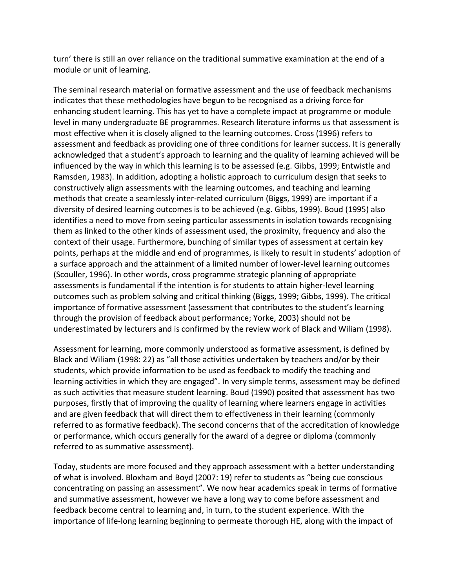turn' there is still an over reliance on the traditional summative examination at the end of a module or unit of learning.

The seminal research material on formative assessment and the use of feedback mechanisms indicates that these methodologies have begun to be recognised as a driving force for enhancing student learning. This has yet to have a complete impact at programme or module level in many undergraduate BE programmes. Research literature informs us that assessment is most effective when it is closely aligned to the learning outcomes. Cross (1996) refers to assessment and feedback as providing one of three conditions for learner success. It is generally acknowledged that a student's approach to learning and the quality of learning achieved will be influenced by the way in which this learning is to be assessed (e.g. Gibbs, 1999; Entwistle and Ramsden, 1983). In addition, adopting a holistic approach to curriculum design that seeks to constructively align assessments with the learning outcomes, and teaching and learning methods that create a seamlessly inter-related curriculum (Biggs, 1999) are important if a diversity of desired learning outcomes is to be achieved (e.g. Gibbs, 1999). Boud (1995) also identifies a need to move from seeing particular assessments in isolation towards recognising them as linked to the other kinds of assessment used, the proximity, frequency and also the context of their usage. Furthermore, bunching of similar types of assessment at certain key points, perhaps at the middle and end of programmes, is likely to result in students' adoption of a surface approach and the attainment of a limited number of lower-level learning outcomes (Scouller, 1996). In other words, cross programme strategic planning of appropriate assessments is fundamental if the intention is for students to attain higher-level learning outcomes such as problem solving and critical thinking (Biggs, 1999; Gibbs, 1999). The critical importance of formative assessment (assessment that contributes to the student's learning through the provision of feedback about performance; Yorke, 2003) should not be underestimated by lecturers and is confirmed by the review work of Black and Wiliam (1998).

Assessment for learning, more commonly understood as formative assessment, is defined by Black and Wiliam (1998: 22) as "all those activities undertaken by teachers and/or by their students, which provide information to be used as feedback to modify the teaching and learning activities in which they are engaged". In very simple terms, assessment may be defined as such activities that measure student learning. Boud (1990) posited that assessment has two purposes, firstly that of improving the quality of learning where learners engage in activities and are given feedback that will direct them to effectiveness in their learning (commonly referred to as formative feedback). The second concerns that of the accreditation of knowledge or performance, which occurs generally for the award of a degree or diploma (commonly referred to as summative assessment).

Today, students are more focused and they approach assessment with a better understanding of what is involved. Bloxham and Boyd (2007: 19) refer to students as "being cue conscious concentrating on passing an assessment". We now hear academics speak in terms of formative and summative assessment, however we have a long way to come before assessment and feedback become central to learning and, in turn, to the student experience. With the importance of life-long learning beginning to permeate thorough HE, along with the impact of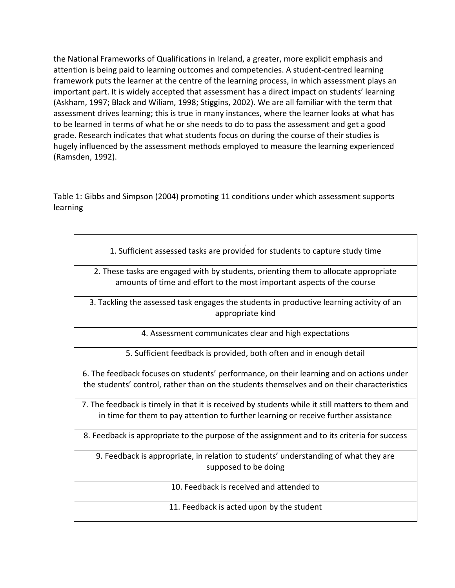the National Frameworks of Qualifications in Ireland, a greater, more explicit emphasis and attention is being paid to learning outcomes and competencies. A student-centred learning framework puts the learner at the centre of the learning process, in which assessment plays an important part. It is widely accepted that assessment has a direct impact on students' learning (Askham, 1997; Black and Wiliam, 1998; Stiggins, 2002). We are all familiar with the term that assessment drives learning; this is true in many instances, where the learner looks at what has to be learned in terms of what he or she needs to do to pass the assessment and get a good grade. Research indicates that what students focus on during the course of their studies is hugely influenced by the assessment methods employed to measure the learning experienced (Ramsden, 1992).

Table 1: Gibbs and Simpson (2004) promoting 11 conditions under which assessment supports learning

1. Sufficient assessed tasks are provided for students to capture study time

2. These tasks are engaged with by students, orienting them to allocate appropriate amounts of time and effort to the most important aspects of the course

3. Tackling the assessed task engages the students in productive learning activity of an appropriate kind

4. Assessment communicates clear and high expectations

5. Sufficient feedback is provided, both often and in enough detail

6. The feedback focuses on students' performance, on their learning and on actions under the students' control, rather than on the students themselves and on their characteristics

7. The feedback is timely in that it is received by students while it still matters to them and in time for them to pay attention to further learning or receive further assistance

8. Feedback is appropriate to the purpose of the assignment and to its criteria for success

9. Feedback is appropriate, in relation to students' understanding of what they are supposed to be doing

10. Feedback is received and attended to

11. Feedback is acted upon by the student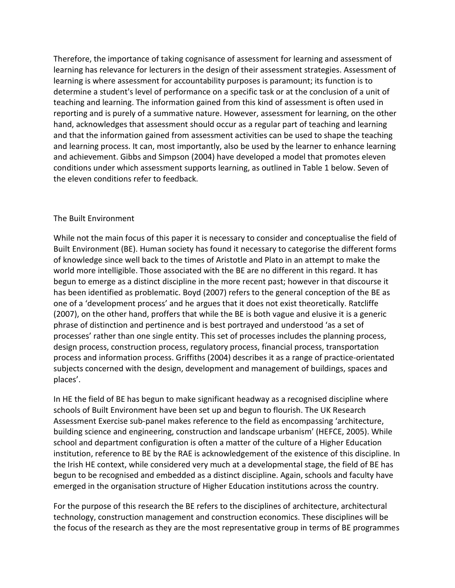Therefore, the importance of taking cognisance of assessment for learning and assessment of learning has relevance for lecturers in the design of their assessment strategies. Assessment of learning is where assessment for accountability purposes is paramount; its function is to determine a student's level of performance on a specific task or at the conclusion of a unit of teaching and learning. The information gained from this kind of assessment is often used in reporting and is purely of a summative nature. However, assessment for learning, on the other hand, acknowledges that assessment should occur as a regular part of teaching and learning and that the information gained from assessment activities can be used to shape the teaching and learning process. It can, most importantly, also be used by the learner to enhance learning and achievement. Gibbs and Simpson (2004) have developed a model that promotes eleven conditions under which assessment supports learning, as outlined in Table 1 below. Seven of the eleven conditions refer to feedback.

#### The Built Environment

While not the main focus of this paper it is necessary to consider and conceptualise the field of Built Environment (BE). Human society has found it necessary to categorise the different forms of knowledge since well back to the times of Aristotle and Plato in an attempt to make the world more intelligible. Those associated with the BE are no different in this regard. It has begun to emerge as a distinct discipline in the more recent past; however in that discourse it has been identified as problematic. Boyd (2007) refers to the general conception of the BE as one of a 'development process' and he argues that it does not exist theoretically. Ratcliffe (2007), on the other hand, proffers that while the BE is both vague and elusive it is a generic phrase of distinction and pertinence and is best portrayed and understood 'as a set of processes' rather than one single entity. This set of processes includes the planning process, design process, construction process, regulatory process, financial process, transportation process and information process. Griffiths (2004) describes it as a range of practice-orientated subjects concerned with the design, development and management of buildings, spaces and places'.

In HE the field of BE has begun to make significant headway as a recognised discipline where schools of Built Environment have been set up and begun to flourish. The UK Research Assessment Exercise sub-panel makes reference to the field as encompassing 'architecture, building science and engineering, construction and landscape urbanism' (HEFCE, 2005). While school and department configuration is often a matter of the culture of a Higher Education institution, reference to BE by the RAE is acknowledgement of the existence of this discipline. In the Irish HE context, while considered very much at a developmental stage, the field of BE has begun to be recognised and embedded as a distinct discipline. Again, schools and faculty have emerged in the organisation structure of Higher Education institutions across the country.

For the purpose of this research the BE refers to the disciplines of architecture, architectural technology, construction management and construction economics. These disciplines will be the focus of the research as they are the most representative group in terms of BE programmes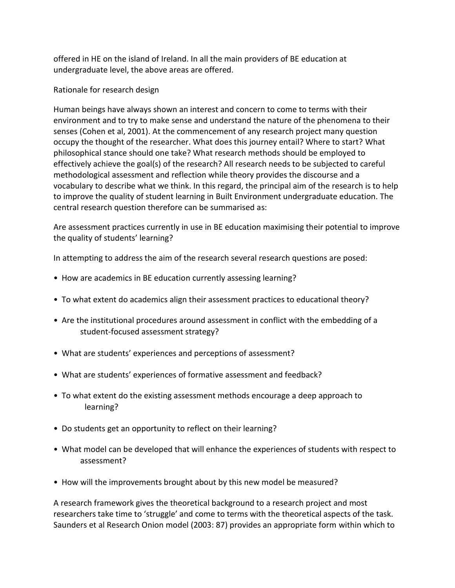offered in HE on the island of Ireland. In all the main providers of BE education at undergraduate level, the above areas are offered.

Rationale for research design

Human beings have always shown an interest and concern to come to terms with their environment and to try to make sense and understand the nature of the phenomena to their senses (Cohen et al, 2001). At the commencement of any research project many question occupy the thought of the researcher. What does this journey entail? Where to start? What philosophical stance should one take? What research methods should be employed to effectively achieve the goal(s) of the research? All research needs to be subjected to careful methodological assessment and reflection while theory provides the discourse and a vocabulary to describe what we think. In this regard, the principal aim of the research is to help to improve the quality of student learning in Built Environment undergraduate education. The central research question therefore can be summarised as:

Are assessment practices currently in use in BE education maximising their potential to improve the quality of students' learning?

In attempting to address the aim of the research several research questions are posed:

- How are academics in BE education currently assessing learning?
- To what extent do academics align their assessment practices to educational theory?
- Are the institutional procedures around assessment in conflict with the embedding of a student-focused assessment strategy?
- What are students' experiences and perceptions of assessment?
- What are students' experiences of formative assessment and feedback?
- To what extent do the existing assessment methods encourage a deep approach to learning?
- Do students get an opportunity to reflect on their learning?
- What model can be developed that will enhance the experiences of students with respect to assessment?
- How will the improvements brought about by this new model be measured?

A research framework gives the theoretical background to a research project and most researchers take time to 'struggle' and come to terms with the theoretical aspects of the task. Saunders et al Research Onion model (2003: 87) provides an appropriate form within which to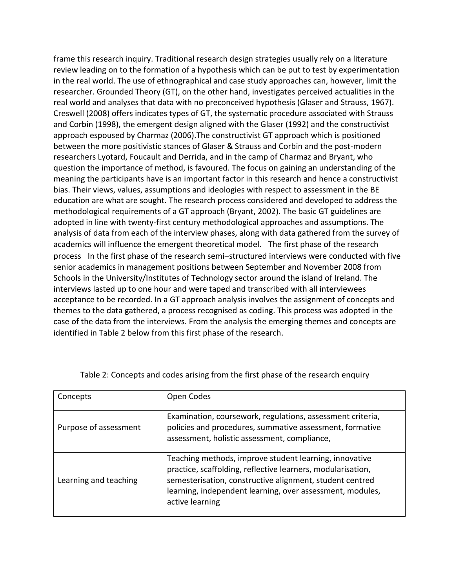frame this research inquiry. Traditional research design strategies usually rely on a literature review leading on to the formation of a hypothesis which can be put to test by experimentation in the real world. The use of ethnographical and case study approaches can, however, limit the researcher. Grounded Theory (GT), on the other hand, investigates perceived actualities in the real world and analyses that data with no preconceived hypothesis (Glaser and Strauss, 1967). Creswell (2008) offers indicates types of GT, the systematic procedure associated with Strauss and Corbin (1998), the emergent design aligned with the Glaser (1992) and the constructivist approach espoused by Charmaz (2006).The constructivist GT approach which is positioned between the more positivistic stances of Glaser & Strauss and Corbin and the post-modern researchers Lyotard, Foucault and Derrida, and in the camp of Charmaz and Bryant, who question the importance of method, is favoured. The focus on gaining an understanding of the meaning the participants have is an important factor in this research and hence a constructivist bias. Their views, values, assumptions and ideologies with respect to assessment in the BE education are what are sought. The research process considered and developed to address the methodological requirements of a GT approach (Bryant, 2002). The basic GT guidelines are adopted in line with twenty-first century methodological approaches and assumptions. The analysis of data from each of the interview phases, along with data gathered from the survey of academics will influence the emergent theoretical model. The first phase of the research process In the first phase of the research semi–structured interviews were conducted with five senior academics in management positions between September and November 2008 from Schools in the University/Institutes of Technology sector around the island of Ireland. The interviews lasted up to one hour and were taped and transcribed with all interviewees acceptance to be recorded. In a GT approach analysis involves the assignment of concepts and themes to the data gathered, a process recognised as coding. This process was adopted in the case of the data from the interviews. From the analysis the emerging themes and concepts are identified in Table 2 below from this first phase of the research.

| Concepts              | Open Codes                                                                                                                                                                                                                                                        |
|-----------------------|-------------------------------------------------------------------------------------------------------------------------------------------------------------------------------------------------------------------------------------------------------------------|
| Purpose of assessment | Examination, coursework, regulations, assessment criteria,<br>policies and procedures, summative assessment, formative<br>assessment, holistic assessment, compliance,                                                                                            |
| Learning and teaching | Teaching methods, improve student learning, innovative<br>practice, scaffolding, reflective learners, modularisation,<br>semesterisation, constructive alignment, student centred<br>learning, independent learning, over assessment, modules,<br>active learning |

Table 2: Concepts and codes arising from the first phase of the research enquiry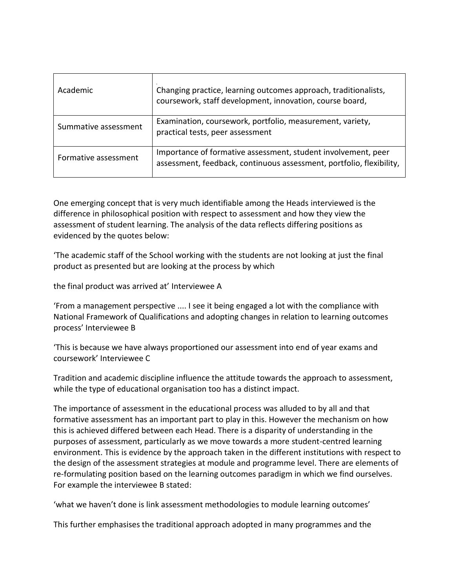| Academic             | Changing practice, learning outcomes approach, traditionalists,<br>coursework, staff development, innovation, course board,           |
|----------------------|---------------------------------------------------------------------------------------------------------------------------------------|
| Summative assessment | Examination, coursework, portfolio, measurement, variety,<br>practical tests, peer assessment                                         |
| Formative assessment | Importance of formative assessment, student involvement, peer<br>assessment, feedback, continuous assessment, portfolio, flexibility, |

One emerging concept that is very much identifiable among the Heads interviewed is the difference in philosophical position with respect to assessment and how they view the assessment of student learning. The analysis of the data reflects differing positions as evidenced by the quotes below:

'The academic staff of the School working with the students are not looking at just the final product as presented but are looking at the process by which

the final product was arrived at' Interviewee A

'From a management perspective .... I see it being engaged a lot with the compliance with National Framework of Qualifications and adopting changes in relation to learning outcomes process' Interviewee B

'This is because we have always proportioned our assessment into end of year exams and coursework' Interviewee C

Tradition and academic discipline influence the attitude towards the approach to assessment, while the type of educational organisation too has a distinct impact.

The importance of assessment in the educational process was alluded to by all and that formative assessment has an important part to play in this. However the mechanism on how this is achieved differed between each Head. There is a disparity of understanding in the purposes of assessment, particularly as we move towards a more student-centred learning environment. This is evidence by the approach taken in the different institutions with respect to the design of the assessment strategies at module and programme level. There are elements of re-formulating position based on the learning outcomes paradigm in which we find ourselves. For example the interviewee B stated:

'what we haven't done is link assessment methodologies to module learning outcomes'

This further emphasises the traditional approach adopted in many programmes and the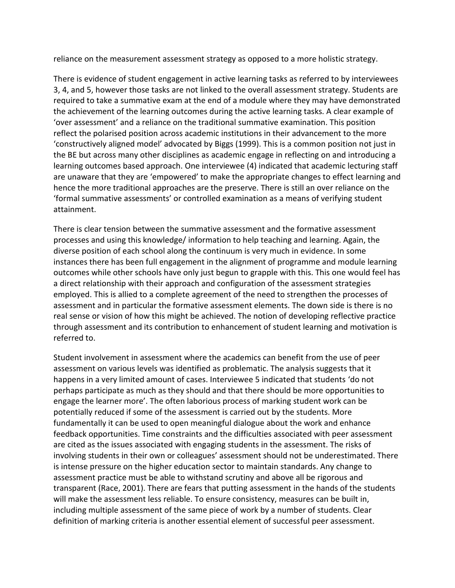reliance on the measurement assessment strategy as opposed to a more holistic strategy.

There is evidence of student engagement in active learning tasks as referred to by interviewees 3, 4, and 5, however those tasks are not linked to the overall assessment strategy. Students are required to take a summative exam at the end of a module where they may have demonstrated the achievement of the learning outcomes during the active learning tasks. A clear example of 'over assessment' and a reliance on the traditional summative examination. This position reflect the polarised position across academic institutions in their advancement to the more 'constructively aligned model' advocated by Biggs (1999). This is a common position not just in the BE but across many other disciplines as academic engage in reflecting on and introducing a learning outcomes based approach. One interviewee (4) indicated that academic lecturing staff are unaware that they are 'empowered' to make the appropriate changes to effect learning and hence the more traditional approaches are the preserve. There is still an over reliance on the 'formal summative assessments' or controlled examination as a means of verifying student attainment.

There is clear tension between the summative assessment and the formative assessment processes and using this knowledge/ information to help teaching and learning. Again, the diverse position of each school along the continuum is very much in evidence. In some instances there has been full engagement in the alignment of programme and module learning outcomes while other schools have only just begun to grapple with this. This one would feel has a direct relationship with their approach and configuration of the assessment strategies employed. This is allied to a complete agreement of the need to strengthen the processes of assessment and in particular the formative assessment elements. The down side is there is no real sense or vision of how this might be achieved. The notion of developing reflective practice through assessment and its contribution to enhancement of student learning and motivation is referred to.

Student involvement in assessment where the academics can benefit from the use of peer assessment on various levels was identified as problematic. The analysis suggests that it happens in a very limited amount of cases. Interviewee 5 indicated that students 'do not perhaps participate as much as they should and that there should be more opportunities to engage the learner more'. The often laborious process of marking student work can be potentially reduced if some of the assessment is carried out by the students. More fundamentally it can be used to open meaningful dialogue about the work and enhance feedback opportunities. Time constraints and the difficulties associated with peer assessment are cited as the issues associated with engaging students in the assessment. The risks of involving students in their own or colleagues' assessment should not be underestimated. There is intense pressure on the higher education sector to maintain standards. Any change to assessment practice must be able to withstand scrutiny and above all be rigorous and transparent (Race, 2001). There are fears that putting assessment in the hands of the students will make the assessment less reliable. To ensure consistency, measures can be built in, including multiple assessment of the same piece of work by a number of students. Clear definition of marking criteria is another essential element of successful peer assessment.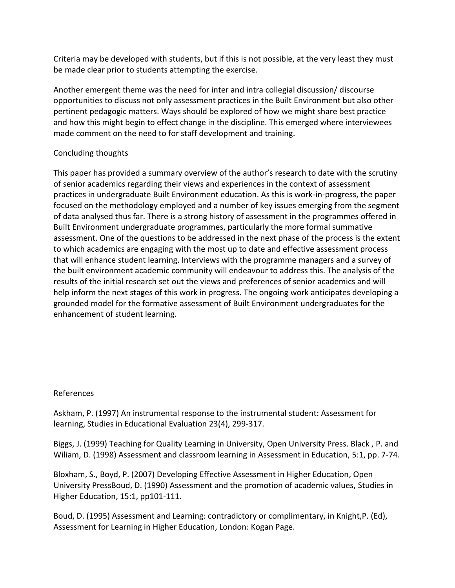Criteria may be developed with students, but if this is not possible, at the very least they must be made clear prior to students attempting the exercise.

Another emergent theme was the need for inter and intra collegial discussion/ discourse opportunities to discuss not only assessment practices in the Built Environment but also other pertinent pedagogic matters. Ways should be explored of how we might share best practice and how this might begin to effect change in the discipline. This emerged where interviewees made comment on the need to for staff development and training.

### Concluding thoughts

This paper has provided a summary overview of the author's research to date with the scrutiny of senior academics regarding their views and experiences in the context of assessment practices in undergraduate Built Environment education. As this is work-in-progress, the paper focused on the methodology employed and a number of key issues emerging from the segment of data analysed thus far. There is a strong history of assessment in the programmes offered in Built Environment undergraduate programmes, particularly the more formal summative assessment. One of the questions to be addressed in the next phase of the process is the extent to which academics are engaging with the most up to date and effective assessment process that will enhance student learning. Interviews with the programme managers and a survey of the built environment academic community will endeavour to address this. The analysis of the results of the initial research set out the views and preferences of senior academics and will help inform the next stages of this work in progress. The ongoing work anticipates developing a grounded model for the formative assessment of Built Environment undergraduates for the enhancement of student learning.

# References

Askham, P. (1997) An instrumental response to the instrumental student: Assessment for learning, Studies in Educational Evaluation 23(4), 299-317.

Biggs, J. (1999) Teaching for Quality Learning in University, Open University Press. Black , P. and Wiliam, D. (1998) Assessment and classroom learning in Assessment in Education, 5:1, pp. 7-74.

Bloxham, S., Boyd, P. (2007) Developing Effective Assessment in Higher Education, Open University PressBoud, D. (1990) Assessment and the promotion of academic values, Studies in Higher Education, 15:1, pp101-111.

Boud, D. (1995) Assessment and Learning: contradictory or complimentary, in Knight,P. (Ed), Assessment for Learning in Higher Education, London: Kogan Page.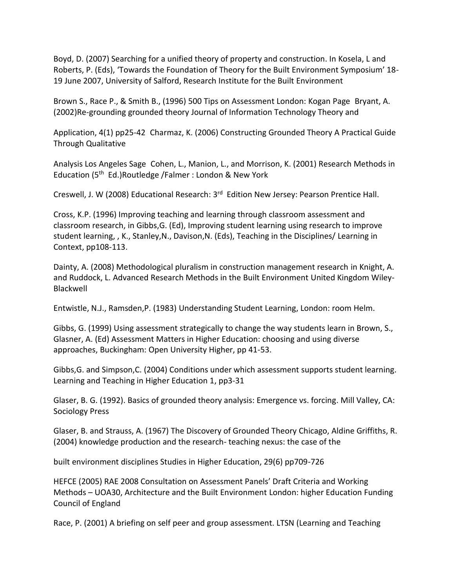Boyd, D. (2007) Searching for a unified theory of property and construction. In Kosela, L and Roberts, P. (Eds), 'Towards the Foundation of Theory for the Built Environment Symposium' 18- 19 June 2007, University of Salford, Research Institute for the Built Environment

Brown S., Race P., & Smith B., (1996) 500 Tips on Assessment London: Kogan Page Bryant, A. (2002)Re-grounding grounded theory Journal of Information Technology Theory and

Application, 4(1) pp25-42 Charmaz, K. (2006) Constructing Grounded Theory A Practical Guide Through Qualitative

Analysis Los Angeles Sage Cohen, L., Manion, L., and Morrison, K. (2001) Research Methods in Education (5th Ed.)Routledge /Falmer : London & New York

Creswell, J. W (2008) Educational Research: 3rd Edition New Jersey: Pearson Prentice Hall.

Cross, K.P. (1996) Improving teaching and learning through classroom assessment and classroom research, in Gibbs,G. (Ed), Improving student learning using research to improve student learning, , K., Stanley,N., Davison,N. (Eds), Teaching in the Disciplines/ Learning in Context, pp108-113.

Dainty, A. (2008) Methodological pluralism in construction management research in Knight, A. and Ruddock, L. Advanced Research Methods in the Built Environment United Kingdom Wiley-Blackwell

Entwistle, N.J., Ramsden,P. (1983) Understanding Student Learning, London: room Helm.

Gibbs, G. (1999) Using assessment strategically to change the way students learn in Brown, S., Glasner, A. (Ed) Assessment Matters in Higher Education: choosing and using diverse approaches, Buckingham: Open University Higher, pp 41-53.

Gibbs,G. and Simpson,C. (2004) Conditions under which assessment supports student learning. Learning and Teaching in Higher Education 1, pp3-31

Glaser, B. G. (1992). Basics of grounded theory analysis: Emergence vs. forcing. Mill Valley, CA: Sociology Press

Glaser, B. and Strauss, A. (1967) The Discovery of Grounded Theory Chicago, Aldine Griffiths, R. (2004) knowledge production and the research- teaching nexus: the case of the

built environment disciplines Studies in Higher Education, 29(6) pp709-726

HEFCE (2005) RAE 2008 Consultation on Assessment Panels' Draft Criteria and Working Methods – UOA30, Architecture and the Built Environment London: higher Education Funding Council of England

Race, P. (2001) A briefing on self peer and group assessment. LTSN (Learning and Teaching